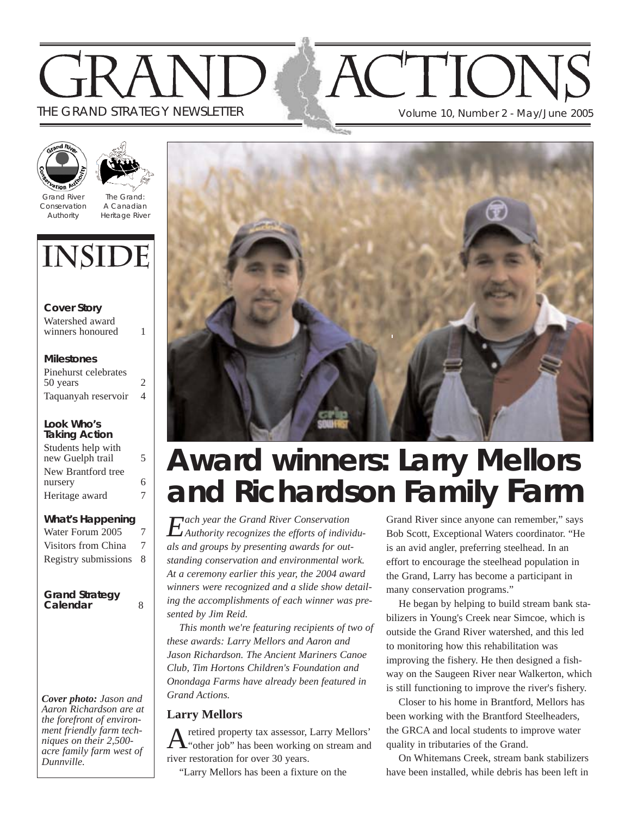# THE GRAND STRATEGY NEWSLETTER Volume 10, Number 2 - May/June 2005



Grand River Conservation Authority

The Grand: A Canadian Heritage River

# **INSIDE**

**Cover Story** Watershed award winners honoured 1

#### **Milestones**

Pinehurst celebrates 50 years 2 Taquanyah reservoir 4

#### **Look Who's Taking Action**

| Students help with |   |
|--------------------|---|
| new Guelph trail   | 5 |
| New Brantford tree |   |
| nursery            | б |
| Heritage award     | 7 |

#### **What's Happening**

| Water Forum 2005       | 7 |
|------------------------|---|
| Visitors from China    | 7 |
| Registry submissions 8 |   |

#### **Grand Strategy** Calendar <sup>33</sup> 8

*Cover photo: Jason and Aaron Richardson are at the forefront of environment friendly farm techniques on their 2,500 acre family farm west of Dunnville.*



# **Award winners: Larry Mellors and Richardson Family Farm**

*Each year the Grand River Conservation Authority recognizes the efforts of individuals and groups by presenting awards for outstanding conservation and environmental work. At a ceremony earlier this year, the 2004 award winners were recognized and a slide show detailing the accomplishments of each winner was presented by Jim Reid.*

*This month we're featuring recipients of two of these awards: Larry Mellors and Aaron and Jason Richardson. The Ancient Mariners Canoe Club, Tim Hortons Children's Foundation and Onondaga Farms have already been featured in Grand Actions.*

#### **Larry Mellors**

Aretired property tax assessor, Larry Mellors' "other job" has been working on stream and river restoration for over 30 years.

"Larry Mellors has been a fixture on the

Grand River since anyone can remember," says Bob Scott, Exceptional Waters coordinator. "He is an avid angler, preferring steelhead. In an effort to encourage the steelhead population in the Grand, Larry has become a participant in many conservation programs."

He began by helping to build stream bank stabilizers in Young's Creek near Simcoe, which is outside the Grand River watershed, and this led to monitoring how this rehabilitation was improving the fishery. He then designed a fishway on the Saugeen River near Walkerton, which is still functioning to improve the river's fishery.

Closer to his home in Brantford, Mellors has been working with the Brantford Steelheaders, the GRCA and local students to improve water quality in tributaries of the Grand.

On Whitemans Creek, stream bank stabilizers have been installed, while debris has been left in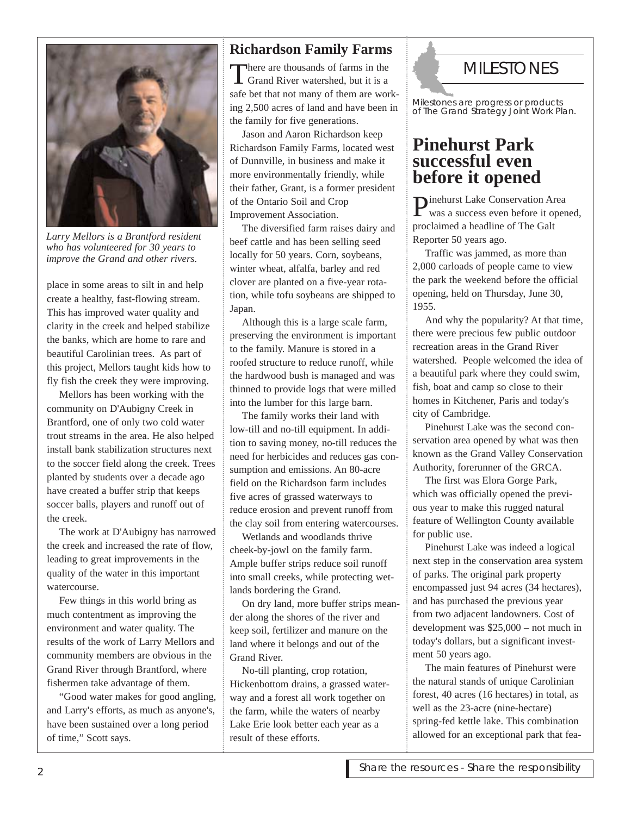

*Larry Mellors is a Brantford resident who has volunteered for 30 years to improve the Grand and other rivers.*

place in some areas to silt in and help create a healthy, fast-flowing stream. This has improved water quality and clarity in the creek and helped stabilize the banks, which are home to rare and beautiful Carolinian trees. As part of this project, Mellors taught kids how to fly fish the creek they were improving.

Mellors has been working with the community on D'Aubigny Creek in Brantford, one of only two cold water trout streams in the area. He also helped install bank stabilization structures next to the soccer field along the creek. Trees planted by students over a decade ago have created a buffer strip that keeps soccer balls, players and runoff out of the creek.

The work at D'Aubigny has narrowed the creek and increased the rate of flow, leading to great improvements in the quality of the water in this important watercourse.

Few things in this world bring as much contentment as improving the environment and water quality. The results of the work of Larry Mellors and community members are obvious in the Grand River through Brantford, where fishermen take advantage of them.

"Good water makes for good angling, and Larry's efforts, as much as anyone's, have been sustained over a long period of time," Scott says.

### **Richardson Family Farms**

There are thousands of farms in the<br>Grand River watershed, but it is a safe bet that not many of them are working 2,500 acres of land and have been in the family for five generations.

Jason and Aaron Richardson keep Richardson Family Farms, located west of Dunnville, in business and make it more environmentally friendly, while their father, Grant, is a former president of the Ontario Soil and Crop Improvement Association.

The diversified farm raises dairy and beef cattle and has been selling seed locally for 50 years. Corn, soybeans, winter wheat, alfalfa, barley and red clover are planted on a five-year rotation, while tofu soybeans are shipped to Japan.

Although this is a large scale farm, preserving the environment is important to the family. Manure is stored in a roofed structure to reduce runoff, while the hardwood bush is managed and was thinned to provide logs that were milled into the lumber for this large barn.

The family works their land with low-till and no-till equipment. In addition to saving money, no-till reduces the need for herbicides and reduces gas consumption and emissions. An 80-acre field on the Richardson farm includes five acres of grassed waterways to reduce erosion and prevent runoff from the clay soil from entering watercourses.

Wetlands and woodlands thrive cheek-by-jowl on the family farm. Ample buffer strips reduce soil runoff into small creeks, while protecting wetlands bordering the Grand.

On dry land, more buffer strips meander along the shores of the river and keep soil, fertilizer and manure on the land where it belongs and out of the Grand River.

No-till planting, crop rotation, Hickenbottom drains, a grassed waterway and a forest all work together on the farm, while the waters of nearby Lake Erie look better each year as a result of these efforts.

# **MILESTONES**

Milestones are progress or products of *The Grand Strategy* Joint Work Plan.

## **Pinehurst Park successful even before it opened**

Pinehurst Lake Conservation Area was a success even before it opened, proclaimed a headline of The Galt Reporter 50 years ago.

Traffic was jammed, as more than 2,000 carloads of people came to view the park the weekend before the official opening, held on Thursday, June 30, 1955.

And why the popularity? At that time, there were precious few public outdoor recreation areas in the Grand River watershed. People welcomed the idea of a beautiful park where they could swim, fish, boat and camp so close to their homes in Kitchener, Paris and today's city of Cambridge.

Pinehurst Lake was the second conservation area opened by what was then known as the Grand Valley Conservation Authority, forerunner of the GRCA.

The first was Elora Gorge Park, which was officially opened the previous year to make this rugged natural feature of Wellington County available for public use.

Pinehurst Lake was indeed a logical next step in the conservation area system of parks. The original park property encompassed just 94 acres (34 hectares), and has purchased the previous year from two adjacent landowners. Cost of development was \$25,000 – not much in today's dollars, but a significant investment 50 years ago.

The main features of Pinehurst were the natural stands of unique Carolinian forest, 40 acres (16 hectares) in total, as well as the 23-acre (nine-hectare) spring-fed kettle lake. This combination allowed for an exceptional park that fea-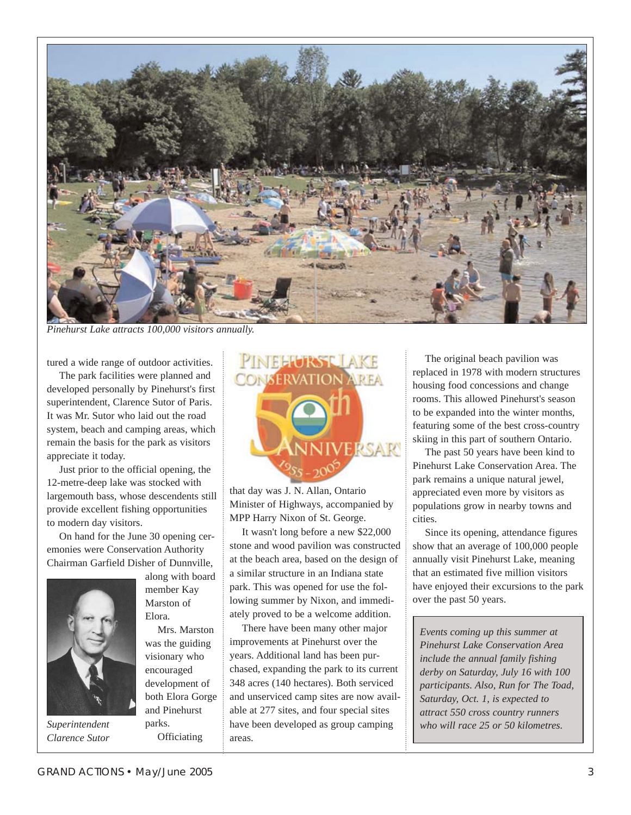

*Pinehurst Lake attracts 100,000 visitors annually.*

tured a wide range of outdoor activities.

The park facilities were planned and developed personally by Pinehurst's first superintendent, Clarence Sutor of Paris. It was Mr. Sutor who laid out the road system, beach and camping areas, which remain the basis for the park as visitors appreciate it today.

Just prior to the official opening, the 12-metre-deep lake was stocked with largemouth bass, whose descendents still provide excellent fishing opportunities to modern day visitors.

On hand for the June 30 opening ceremonies were Conservation Authority Chairman Garfield Disher of Dunnville,



Marston of Elora. Mrs. Marston

along with board member Kay

was the guiding visionary who encouraged development of both Elora Gorge and Pinehurst parks. **Officiating** 



that day was J. N. Allan, Ontario Minister of Highways, accompanied by MPP Harry Nixon of St. George.

It wasn't long before a new \$22,000 stone and wood pavilion was constructed at the beach area, based on the design of a similar structure in an Indiana state park. This was opened for use the following summer by Nixon, and immediately proved to be a welcome addition.

There have been many other major improvements at Pinehurst over the years. Additional land has been purchased, expanding the park to its current 348 acres (140 hectares). Both serviced and unserviced camp sites are now available at 277 sites, and four special sites have been developed as group camping *Superintendent who will race 25 or 50 kilometres.* areas.

The original beach pavilion was replaced in 1978 with modern structures housing food concessions and change rooms. This allowed Pinehurst's season to be expanded into the winter months, featuring some of the best cross-country skiing in this part of southern Ontario.

The past 50 years have been kind to Pinehurst Lake Conservation Area. The park remains a unique natural jewel, appreciated even more by visitors as populations grow in nearby towns and cities.

Since its opening, attendance figures show that an average of 100,000 people annually visit Pinehurst Lake, meaning that an estimated five million visitors have enjoyed their excursions to the park over the past 50 years.

*Events coming up this summer at Pinehurst Lake Conservation Area include the annual family fishing derby on Saturday, July 16 with 100 participants. Also, Run for The Toad, Saturday, Oct. 1, is expected to attract 550 cross country runners*

*Clarence Sutor*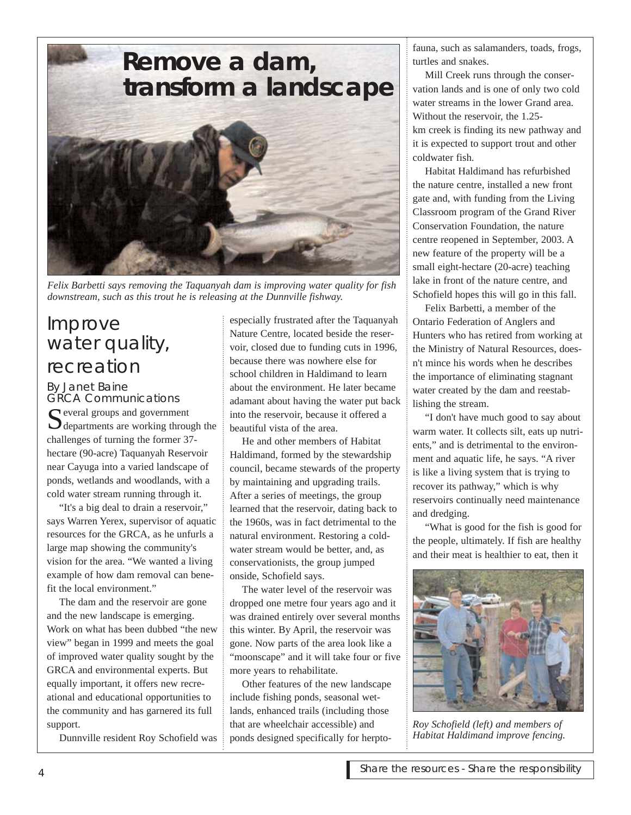# **Remove a dam, transform a landscape**



*Felix Barbetti says removing the Taquanyah dam is improving water quality for fish downstream, such as this trout he is releasing at the Dunnville fishway.*

# Improve water quality, recreation

By Janet Baine GRCA Communications  $\bigcap$  everal groups and government  $\bigcup$  departments are working through the challenges of turning the former 37 hectare (90-acre) Taquanyah Reservoir near Cayuga into a varied landscape of ponds, wetlands and woodlands, with a cold water stream running through it.

"It's a big deal to drain a reservoir," says Warren Yerex, supervisor of aquatic resources for the GRCA, as he unfurls a large map showing the community's vision for the area. "We wanted a living example of how dam removal can benefit the local environment."

The dam and the reservoir are gone and the new landscape is emerging. Work on what has been dubbed "the new view" began in 1999 and meets the goal of improved water quality sought by the GRCA and environmental experts. But equally important, it offers new recreational and educational opportunities to the community and has garnered its full support.

Dunnville resident Roy Schofield was

especially frustrated after the Taquanyah Nature Centre, located beside the reservoir, closed due to funding cuts in 1996, because there was nowhere else for school children in Haldimand to learn about the environment. He later became adamant about having the water put back into the reservoir, because it offered a beautiful vista of the area.

He and other members of Habitat Haldimand, formed by the stewardship council, became stewards of the property by maintaining and upgrading trails. After a series of meetings, the group learned that the reservoir, dating back to the 1960s, was in fact detrimental to the natural environment. Restoring a coldwater stream would be better, and, as conservationists, the group jumped onside, Schofield says.

The water level of the reservoir was dropped one metre four years ago and it was drained entirely over several months this winter. By April, the reservoir was gone. Now parts of the area look like a "moonscape" and it will take four or five more years to rehabilitate.

Other features of the new landscape include fishing ponds, seasonal wetlands, enhanced trails (including those that are wheelchair accessible) and ponds designed specifically for herptofauna, such as salamanders, toads, frogs, turtles and snakes.

Mill Creek runs through the conservation lands and is one of only two cold water streams in the lower Grand area. Without the reservoir, the 1.25 km creek is finding its new pathway and it is expected to support trout and other coldwater fish.

Habitat Haldimand has refurbished the nature centre, installed a new front gate and, with funding from the Living Classroom program of the Grand River Conservation Foundation, the nature centre reopened in September, 2003. A new feature of the property will be a small eight-hectare (20-acre) teaching lake in front of the nature centre, and Schofield hopes this will go in this fall.

Felix Barbetti, a member of the Ontario Federation of Anglers and Hunters who has retired from working at the Ministry of Natural Resources, doesn't mince his words when he describes the importance of eliminating stagnant water created by the dam and reestablishing the stream.

"I don't have much good to say about warm water. It collects silt, eats up nutrients," and is detrimental to the environment and aquatic life, he says. "A river is like a living system that is trying to recover its pathway," which is why reservoirs continually need maintenance and dredging.

"What is good for the fish is good for the people, ultimately. If fish are healthy and their meat is healthier to eat, then it



*Roy Schofield (left) and members of Habitat Haldimand improve fencing.*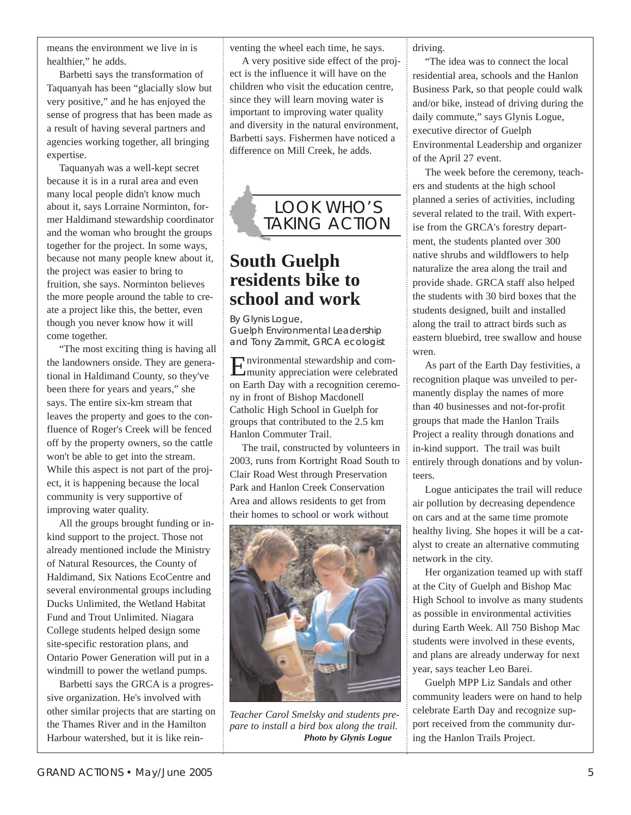means the environment we live in is healthier," he adds.

Barbetti says the transformation of Taquanyah has been "glacially slow but very positive," and he has enjoyed the sense of progress that has been made as a result of having several partners and agencies working together, all bringing expertise.

Taquanyah was a well-kept secret because it is in a rural area and even many local people didn't know much about it, says Lorraine Norminton, former Haldimand stewardship coordinator and the woman who brought the groups together for the project. In some ways, because not many people knew about it, the project was easier to bring to fruition, she says. Norminton believes the more people around the table to create a project like this, the better, even though you never know how it will come together.

"The most exciting thing is having all the landowners onside. They are generational in Haldimand County, so they've been there for years and years," she says. The entire six-km stream that leaves the property and goes to the confluence of Roger's Creek will be fenced off by the property owners, so the cattle won't be able to get into the stream. While this aspect is not part of the project, it is happening because the local community is very supportive of improving water quality.

All the groups brought funding or inkind support to the project. Those not already mentioned include the Ministry of Natural Resources, the County of Haldimand, Six Nations EcoCentre and several environmental groups including Ducks Unlimited, the Wetland Habitat Fund and Trout Unlimited. Niagara College students helped design some site-specific restoration plans, and Ontario Power Generation will put in a windmill to power the wetland pumps.

Barbetti says the GRCA is a progressive organization. He's involved with other similar projects that are starting on the Thames River and in the Hamilton Harbour watershed, but it is like reinventing the wheel each time, he says.

A very positive side effect of the project is the influence it will have on the children who visit the education centre, since they will learn moving water is important to improving water quality and diversity in the natural environment, Barbetti says. Fishermen have noticed a difference on Mill Creek, he adds.



## **South Guelph residents bike to school and work**

By Glynis Logue, Guelph Environmental Leadership and Tony Zammit, GRCA ecologist

Environmental stewardship and com-munity appreciation were celebrated on Earth Day with a recognition ceremony in front of Bishop Macdonell Catholic High School in Guelph for groups that contributed to the 2.5 km Hanlon Commuter Trail.

The trail, constructed by volunteers in 2003, runs from Kortright Road South to Clair Road West through Preservation Park and Hanlon Creek Conservation Area and allows residents to get from their homes to school or work without



*Teacher Carol Smelsky and students prepare to install a bird box along the trail. Photo by Glynis Logue*

driving.

"The idea was to connect the local residential area, schools and the Hanlon Business Park, so that people could walk and/or bike, instead of driving during the daily commute," says Glynis Logue, executive director of Guelph Environmental Leadership and organizer of the April 27 event.

The week before the ceremony, teachers and students at the high school planned a series of activities, including several related to the trail. With expertise from the GRCA's forestry department, the students planted over 300 native shrubs and wildflowers to help naturalize the area along the trail and provide shade. GRCA staff also helped the students with 30 bird boxes that the students designed, built and installed along the trail to attract birds such as eastern bluebird, tree swallow and house wren.

As part of the Earth Day festivities, a recognition plaque was unveiled to permanently display the names of more than 40 businesses and not-for-profit groups that made the Hanlon Trails Project a reality through donations and in-kind support. The trail was built entirely through donations and by volunteers.

Logue anticipates the trail will reduce air pollution by decreasing dependence on cars and at the same time promote healthy living. She hopes it will be a catalyst to create an alternative commuting network in the city.

Her organization teamed up with staff at the City of Guelph and Bishop Mac High School to involve as many students as possible in environmental activities during Earth Week. All 750 Bishop Mac students were involved in these events, and plans are already underway for next year, says teacher Leo Barei.

Guelph MPP Liz Sandals and other community leaders were on hand to help celebrate Earth Day and recognize support received from the community during the Hanlon Trails Project.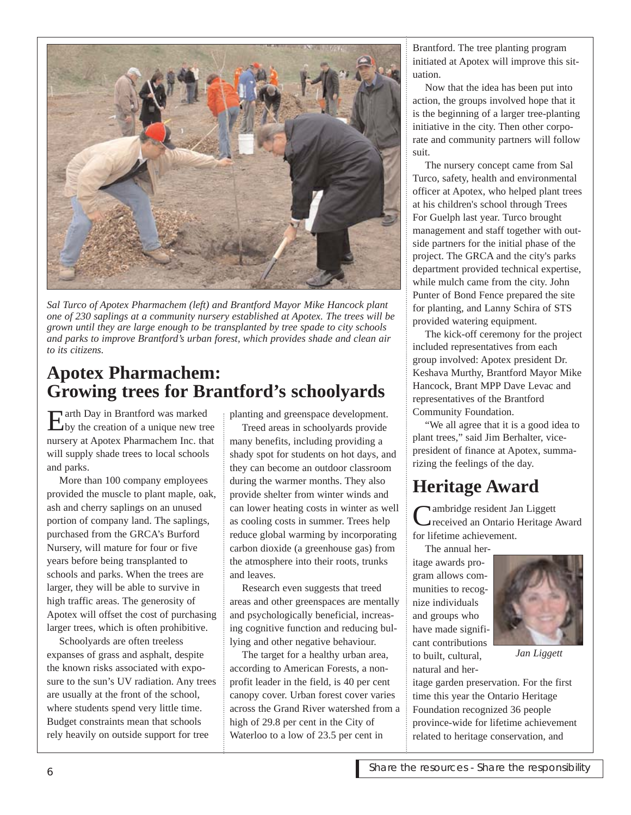

*Sal Turco of Apotex Pharmachem (left) and Brantford Mayor Mike Hancock plant one of 230 saplings at a community nursery established at Apotex. The trees will be grown until they are large enough to be transplanted by tree spade to city schools and parks to improve Brantford's urban forest, which provides shade and clean air to its citizens.*

## **Apotex Pharmachem: Growing trees for Brantford's schoolyards**

Earth Day in Brantford was marked by the creation of a unique new tree nursery at Apotex Pharmachem Inc. that will supply shade trees to local schools and parks.

More than 100 company employees provided the muscle to plant maple, oak, ash and cherry saplings on an unused portion of company land. The saplings, purchased from the GRCA's Burford Nursery, will mature for four or five years before being transplanted to schools and parks. When the trees are larger, they will be able to survive in high traffic areas. The generosity of Apotex will offset the cost of purchasing larger trees, which is often prohibitive.

Schoolyards are often treeless expanses of grass and asphalt, despite the known risks associated with exposure to the sun's UV radiation. Any trees are usually at the front of the school, where students spend very little time. Budget constraints mean that schools rely heavily on outside support for tree

planting and greenspace development.

Treed areas in schoolyards provide many benefits, including providing a shady spot for students on hot days, and they can become an outdoor classroom during the warmer months. They also provide shelter from winter winds and can lower heating costs in winter as well as cooling costs in summer. Trees help reduce global warming by incorporating carbon dioxide (a greenhouse gas) from the atmosphere into their roots, trunks and leaves.

Research even suggests that treed areas and other greenspaces are mentally and psychologically beneficial, increasing cognitive function and reducing bullying and other negative behaviour.

The target for a healthy urban area, according to American Forests, a nonprofit leader in the field, is 40 per cent canopy cover. Urban forest cover varies across the Grand River watershed from a high of 29.8 per cent in the City of Waterloo to a low of 23.5 per cent in

Brantford. The tree planting program initiated at Apotex will improve this situation.

Now that the idea has been put into action, the groups involved hope that it is the beginning of a larger tree-planting initiative in the city. Then other corporate and community partners will follow suit.

The nursery concept came from Sal Turco, safety, health and environmental officer at Apotex, who helped plant trees at his children's school through Trees For Guelph last year. Turco brought management and staff together with outside partners for the initial phase of the project. The GRCA and the city's parks department provided technical expertise, while mulch came from the city. John Punter of Bond Fence prepared the site for planting, and Lanny Schira of STS provided watering equipment.

The kick-off ceremony for the project included representatives from each group involved: Apotex president Dr. Keshava Murthy, Brantford Mayor Mike Hancock, Brant MPP Dave Levac and representatives of the Brantford Community Foundation.

"We all agree that it is a good idea to plant trees," said Jim Berhalter, vicepresident of finance at Apotex, summarizing the feelings of the day.

# **Heritage Award**

**Nambridge resident Jan Liggett** received an Ontario Heritage Award for lifetime achievement.

The annual heritage awards program allows communities to recognize individuals and groups who have made significant contributions to built, cultural, natural and her-



*Jan Liggett*

itage garden preservation. For the first time this year the Ontario Heritage Foundation recognized 36 people province-wide for lifetime achievement related to heritage conservation, and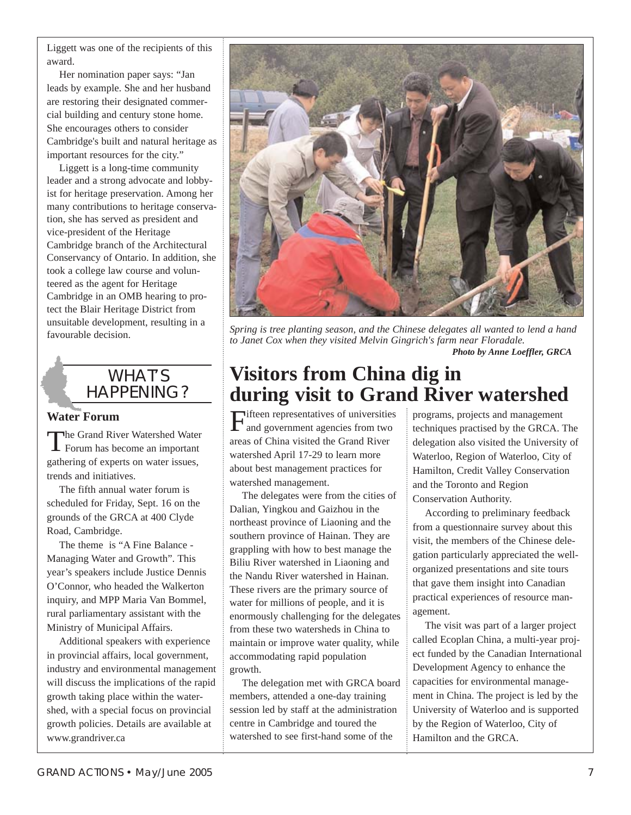Liggett was one of the recipients of this award.

Her nomination paper says: "Jan leads by example. She and her husband are restoring their designated commercial building and century stone home. She encourages others to consider Cambridge's built and natural heritage as important resources for the city."

Liggett is a long-time community leader and a strong advocate and lobbyist for heritage preservation. Among her many contributions to heritage conservation, she has served as president and vice-president of the Heritage Cambridge branch of the Architectural Conservancy of Ontario. In addition, she took a college law course and volunteered as the agent for Heritage Cambridge in an OMB hearing to protect the Blair Heritage District from unsuitable development, resulting in a favourable decision.

# WHAT'S HAPPENING?

#### **Water Forum**

The Grand River Watershed Water<br>Forum has become an important gathering of experts on water issues, trends and initiatives.

The fifth annual water forum is scheduled for Friday, Sept. 16 on the grounds of the GRCA at 400 Clyde Road, Cambridge.

The theme is "A Fine Balance - Managing Water and Growth". This year's speakers include Justice Dennis O'Connor, who headed the Walkerton inquiry, and MPP Maria Van Bommel, rural parliamentary assistant with the Ministry of Municipal Affairs.

Additional speakers with experience in provincial affairs, local government, industry and environmental management will discuss the implications of the rapid growth taking place within the watershed, with a special focus on provincial growth policies. Details are available at www.grandriver.ca



*Spring is tree planting season, and the Chinese delegates all wanted to lend a hand to Janet Cox when they visited Melvin Gingrich's farm near Floradale. Photo by Anne Loeffler, GRCA*

# **Visitors from China dig in during visit to Grand River watershed**

Fifteen representatives of universities and government agencies from two areas of China visited the Grand River watershed April 17-29 to learn more about best management practices for watershed management.

The delegates were from the cities of Dalian, Yingkou and Gaizhou in the northeast province of Liaoning and the southern province of Hainan. They are grappling with how to best manage the Biliu River watershed in Liaoning and the Nandu River watershed in Hainan. These rivers are the primary source of water for millions of people, and it is enormously challenging for the delegates from these two watersheds in China to maintain or improve water quality, while accommodating rapid population growth.

The delegation met with GRCA board members, attended a one-day training session led by staff at the administration centre in Cambridge and toured the watershed to see first-hand some of the

programs, projects and management techniques practised by the GRCA. The delegation also visited the University of Waterloo, Region of Waterloo, City of Hamilton, Credit Valley Conservation and the Toronto and Region Conservation Authority.

According to preliminary feedback from a questionnaire survey about this visit, the members of the Chinese delegation particularly appreciated the wellorganized presentations and site tours that gave them insight into Canadian practical experiences of resource management.

The visit was part of a larger project called Ecoplan China, a multi-year project funded by the Canadian International Development Agency to enhance the capacities for environmental management in China. The project is led by the University of Waterloo and is supported by the Region of Waterloo, City of Hamilton and the GRCA.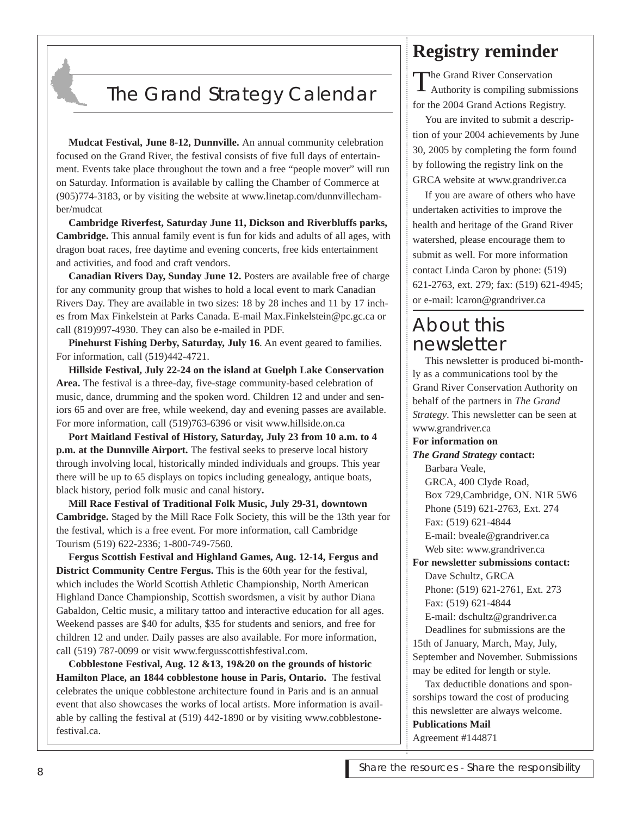# The Grand Strategy Calendar

**Mudcat Festival, June 8-12, Dunnville.** An annual community celebration focused on the Grand River, the festival consists of five full days of entertainment. Events take place throughout the town and a free "people mover" will run on Saturday. Information is available by calling the Chamber of Commerce at (905)774-3183, or by visiting the website at www.linetap.com/dunnvillechamber/mudcat

**Cambridge Riverfest, Saturday June 11, Dickson and Riverbluffs parks, Cambridge.** This annual family event is fun for kids and adults of all ages, with dragon boat races, free daytime and evening concerts, free kids entertainment and activities, and food and craft vendors.

**Canadian Rivers Day, Sunday June 12.** Posters are available free of charge for any community group that wishes to hold a local event to mark Canadian Rivers Day. They are available in two sizes: 18 by 28 inches and 11 by 17 inches from Max Finkelstein at Parks Canada. E-mail Max.Finkelstein@pc.gc.ca or call (819)997-4930. They can also be e-mailed in PDF.

**Pinehurst Fishing Derby, Saturday, July 16**. An event geared to families. For information, call (519)442-4721.

**Hillside Festival, July 22-24 on the island at Guelph Lake Conservation Area.** The festival is a three-day, five-stage community-based celebration of music, dance, drumming and the spoken word. Children 12 and under and seniors 65 and over are free, while weekend, day and evening passes are available. For more information, call (519)763-6396 or visit www.hillside.on.ca

**Port Maitland Festival of History, Saturday, July 23 from 10 a.m. to 4 p.m. at the Dunnville Airport.** The festival seeks to preserve local history through involving local, historically minded individuals and groups. This year there will be up to 65 displays on topics including genealogy, antique boats, black history, period folk music and canal history**.**

**Mill Race Festival of Traditional Folk Music, July 29-31, downtown Cambridge.** Staged by the Mill Race Folk Society, this will be the 13th year for the festival, which is a free event. For more information, call Cambridge Tourism (519) 622-2336; 1-800-749-7560.

**Fergus Scottish Festival and Highland Games, Aug. 12-14, Fergus and District Community Centre Fergus.** This is the 60th year for the festival, which includes the World Scottish Athletic Championship, North American Highland Dance Championship, Scottish swordsmen, a visit by author Diana Gabaldon, Celtic music, a military tattoo and interactive education for all ages. Weekend passes are \$40 for adults, \$35 for students and seniors, and free for children 12 and under. Daily passes are also available. For more information, call (519) 787-0099 or visit www.fergusscottishfestival.com.

**Cobblestone Festival, Aug. 12 &13, 19&20 on the grounds of historic Hamilton Place, an 1844 cobblestone house in Paris, Ontario.** The festival celebrates the unique cobblestone architecture found in Paris and is an annual event that also showcases the works of local artists. More information is available by calling the festival at (519) 442-1890 or by visiting www.cobblestonefestival.ca.

# **Registry reminder**

The Grand River Conservation<br>Authority is compiling submissions for the 2004 Grand Actions Registry.

You are invited to submit a description of your 2004 achievements by June 30, 2005 by completing the form found by following the registry link on the GRCA website at www.grandriver.ca

If you are aware of others who have undertaken activities to improve the health and heritage of the Grand River watershed, please encourage them to submit as well. For more information contact Linda Caron by phone: (519) 621-2763, ext. 279; fax: (519) 621-4945; or e-mail: lcaron@grandriver.ca

# About this newsletter

This newsletter is produced bi-monthly as a communications tool by the Grand River Conservation Authority on behalf of the partners in *The Grand Strategy*. This newsletter can be seen at www.grandriver.ca

**For information on**

*The Grand Strategy* **contact:** Barbara Veale, GRCA, 400 Clyde Road, Box 729,Cambridge, ON. N1R 5W6 Phone (519) 621-2763, Ext. 274 Fax: (519) 621-4844 E-mail: bveale@grandriver.ca Web site: www.grandriver.ca

**For newsletter submissions contact:** Dave Schultz, GRCA Phone: (519) 621-2761, Ext. 273 Fax: (519) 621-4844 E-mail: dschultz@grandriver.ca

Deadlines for submissions are the 15th of January, March, May, July, September and November. Submissions may be edited for length or style.

Tax deductible donations and sponsorships toward the cost of producing this newsletter are always welcome. **Publications Mail** Agreement #144871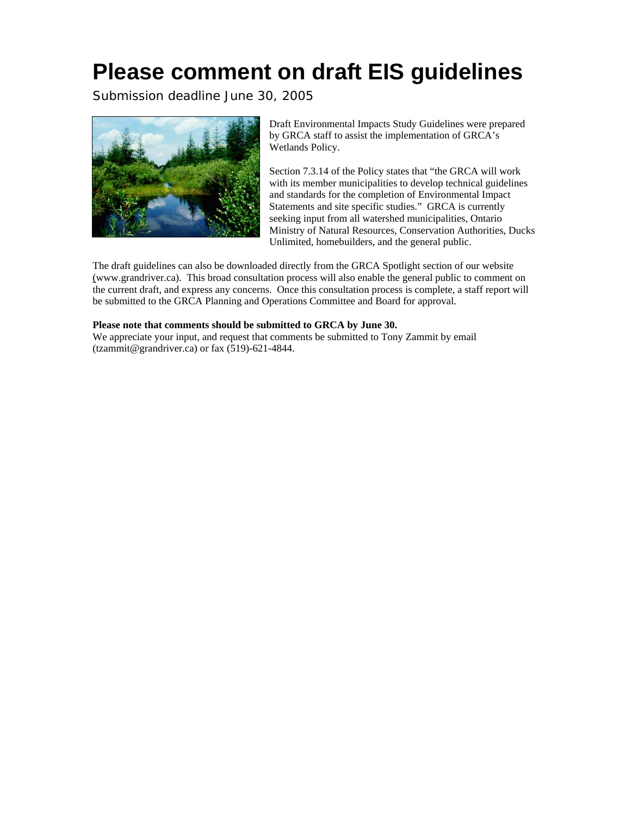# **Please comment on draft EIS guidelines**

Submission deadline June 30, 2005



Draft Environmental Impacts Study Guidelines were prepared by GRCA staff to assist the implementation of GRCA's Wetlands Policy.

Section 7.3.14 of the Policy states that "the GRCA will work with its member municipalities to develop technical guidelines and standards for the completion of Environmental Impact Statements and site specific studies." GRCA is currently seeking input from all watershed municipalities, Ontario Ministry of Natural Resources, Conservation Authorities, Ducks Unlimited, homebuilders, and the general public.

The draft guidelines can also be downloaded directly from the GRCA Spotlight section of our website [\(www.grandriver.ca\)](http://www.grandriver.ca/). This broad consultation process will also enable the general public to comment on the current draft, and express any concerns. Once this consultation process is complete, a staff report will be submitted to the GRCA Planning and Operations Committee and Board for approval.

#### **Please note that comments should be submitted to GRCA by June 30.**

We appreciate your input, and request that comments be submitted to Tony Zammit by email [\(tzammit@grandriver.ca](mailto:tzammit@grandriver.ca)) or fax (519)-621-4844.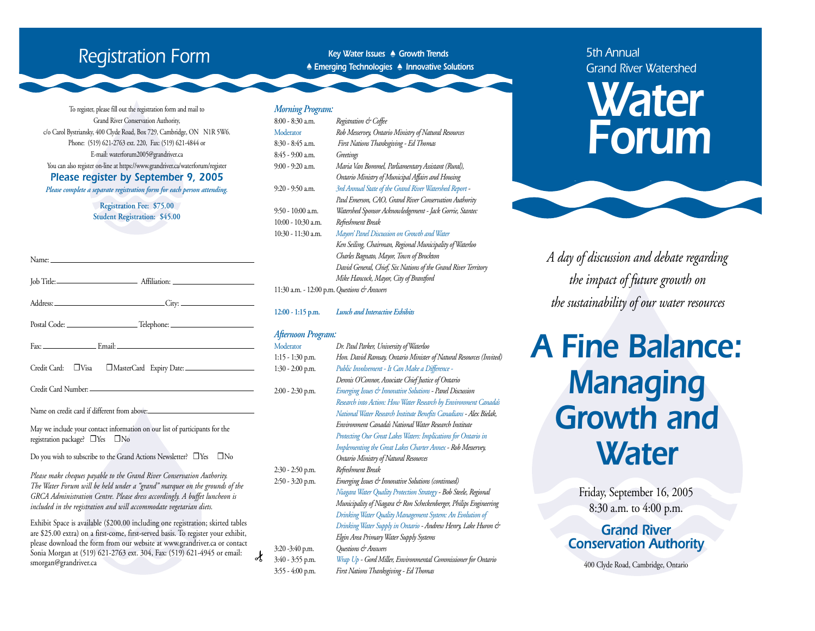# *Registration Form*

*Key Water Issues • Growth Trends • Emerging Technologies • Innovative Solutions*

To register, please fill out the registration form and mail to Grand River Conservation Authority, c/o Carol Bystriansky, 400 Clyde Road, Box 729, Cambridge, ON N1R 5W6. Phone: (519) 621-2763 ext. 220, Fax: (519) 621-4844 or E-mail: waterforum2005@grandriver.ca You can also register on-line at https://www.grandriver.ca/waterforum/register *Please register by September 9, 2005 Please complete a separate registration form for each person attending.*

> **Registration Fee: \$75.00 Student Registration: \$45.00**

Name:

|                                                                                                                                               | Credit Card: J Visa J MasterCard Expiry Date: ___________________________________                                                                        |
|-----------------------------------------------------------------------------------------------------------------------------------------------|----------------------------------------------------------------------------------------------------------------------------------------------------------|
|                                                                                                                                               |                                                                                                                                                          |
|                                                                                                                                               |                                                                                                                                                          |
| May we include your contact information on our list of participants for the<br>registration package? □ Yes □ No                               |                                                                                                                                                          |
|                                                                                                                                               | Do you wish to subscribe to the Grand Actions Newsletter? $\Box$ Yes $\Box$ No                                                                           |
| Please make cheques payable to the Grand River Conservation Authority.<br>included in the registration and will accommodate vegetarian diets. | The Water Forum will be held under a "grand" marquee on the grounds of the<br>GRCA Administration Centre. Please dress accordingly. A buffet luncheon is |
|                                                                                                                                               | Exhibit Space is available (\$200.00 including one registration; skirted tables                                                                          |

are \$25.00 extra) on a first-come, first-served basis. To register your exhibit, <sup>p</sup>lease download the form from our website at www.grandriver.ca or contact Sonia Morgan at (519) 621-2763 ext. 304, Fax: (519) 621-4945 or email: smorgan@grandriver.ca

| <b>Morning Program:</b> |                                                                |
|-------------------------|----------------------------------------------------------------|
| $8:00 - 8:30$ a.m.      | Registration & Coffee                                          |
| Moderator               | Rob Messervey, Ontario Ministry of Natural Resources           |
| 8:30 - 8:45 a.m.        | First Nations Thanksgiving - Ed Thomas                         |
| 8:45 - 9:00 a.m.        | Greetings                                                      |
| $9:00 - 9:20$ a.m.      | Maria Van Bommel, Parliamentary Assistant (Rural),             |
|                         | Ontario Ministry of Municipal Affairs and Housing              |
| 9:20 - 9:50 a.m.        | 3rd Annual State of the Grand River Watershed Report -         |
|                         | Paul Emerson, CAO, Grand River Conservation Authority          |
| $9:50 - 10:00$ a.m.     | Watershed Sponsor Acknowledgement - Jack Gorrie, Stantec       |
| 10:00 - 10:30 a.m.      | Refreshment Break                                              |
| 10:30 - 11:30 a.m.      | Mayors' Panel Discussion on Growth and Water                   |
|                         | Ken Seiling, Chairman, Regional Municipality of Waterloo       |
|                         | Charles Bagnato, Mayor, Town of Brockton                       |
|                         | David General, Chief, Six Nations of the Grand River Territory |
|                         | Mike Hancock, Mayor, City of Brantford                         |
|                         |                                                                |

11:30 a.m. - 12:00 p.m.*Questions & Answers*

#### **12:00 - 1:15 p.m.** *Lunch and Interactive Exhibits*

#### *Afternoon Program:*

Moderator *Dr. Paul Parker, University of Waterloo* 1:15 - 1:30 p.m. *Hon. David Ramsay, Ontario Minister of Natural Resources (Invited)* 1:30 - 2:00 p.m. *Public Involvement - It Can Make a Difference - Dennis O'Connor, Associate Chief Justice of Ontario* 2:00 - 2:30 p.m. *Emerging Issues & Innovative Solutions - Panel Discussion Research into Action: How Water Research by Environment Canada's National Water Research Institute Benefits Canadians - Alex Bielak, Environment Canada's National Water Research Institute Protecting Our Great Lakes Waters: Implications for Ontario in Implementing the Great Lakes Charter Annex - Rob Messervey, Ontario Ministry of Natural Resources* 2:30 - 2:50 p.m. *Refreshment Break* 2:50 - 3:20 p.m. *Emerging Issues & Innovative Solutions (continued) Niagara Water Quality Protection Strategy - Bob Steele, Regional Municipality of Niagara & Ron Scheckenberger, Philips Engineering Drinking Water Quality Management System: An Evolution of Drinking Water Supply in Ontario - Andrew Henry, Lake Huron & Elgin Area Primary Water Supply Systems* 3:20 -3:40 p.m. *Questions & Answers*

 $\gamma$ 

3:40 - 3:55 p.m. *Wrap Up - Gord Miller, Environmental Commissioner for Ontario*  3:55 - 4:00 p.m. *First Nations Thanksgiving - Ed Thomas*

#### *5th Annual Grand River Watershed*

# *Water Forum*

*A day of discussion and debate regarding the impact of future growth on the sustainability of our water resources*

# *A Fine Balance: Managing Growth and Water*

Friday, September 16, 2005 8:30 a.m. to 4:00 p.m.

#### *Grand River Conservation Authority*

400 Clyde Road, Cambridge, Ontario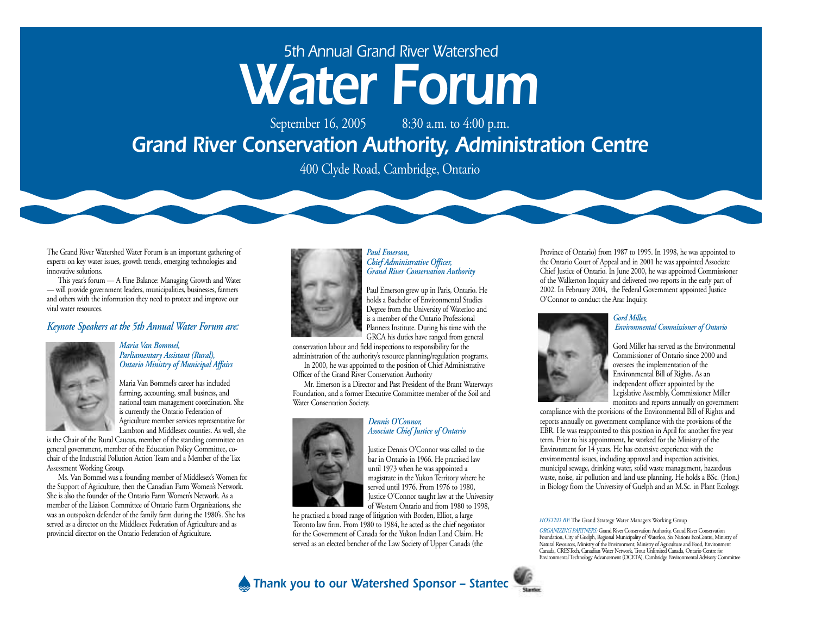# *5th Annual Grand River Watershed Water Forum*

September 16, 2005 8:30 a.m. to 4:00 p.m.

# *Grand River Conservation Authority, Administration Centre*

400 Clyde Road, Cambridge, Ontario

The Grand River Watershed Water Forum is an important gathering of experts on key water issues, growth trends, emerging technologies and innovative solutions.

This year's forum — A Fine Balance: Managing Growth and Water — will provide government leaders, municipalities, businesses, farmers and others with the information they need to protect and improve our vital water resources.

#### *Keynote Speakers at the 5th Annual Water Forum are:*



#### *Maria Van Bommel, Parliamentary Assistant (Rural), Ontario Ministry of Municipal Affairs*

Maria Van Bommel's career has included farming, accounting, small business, and national team management coordination. She is currently the Ontario Federation of Agriculture member services representative for Lambton and Middlesex counties. As well, she

is the Chair of the Rural Caucus, member of the standing committee on general government, member of the Education Policy Committee, cochair of the Industrial Pollution Action Team and a Member of the Tax Assessment Working Group.

Ms. Van Bommel was a founding member of Middlesex's Women for the Support of Agriculture, then the Canadian Farm Women's Network. She is also the founder of the Ontario Farm Women's Network. As a member of the Liaison Committee of Ontario Farm Organizations, she was an outspoken defender of the family farm during the 1980's. She has served as a director on the Middlesex Federation of Agriculture and as provincial director on the Ontario Federation of Agriculture.



*Paul Emerson, Chief Administrative Officer, Grand River Conservation Authority*



holds a Bachelor of Environmental Studies Degree from the University of Waterloo and is a member of the Ontario Professional Planners Institute. During his time with the GRCA his duties have ranged from general

conservation labour and field inspections to responsibility for the administration of the authority's resource planning/regulation programs.

In 2000, he was appointed to the position of Chief Administrative Officer of the Grand River Conservation Authority

Mr. Emerson is a Director and Past President of the Brant Waterways Foundation, and a former Executive Committee member of the Soil and Water Conservation Society.



#### *Dennis O'Connor, Associate Chief Justice of Ontario*

Justice Dennis O'Connor was called to the bar in Ontario in 1966. He practised law until 1973 when he was appointed a magistrate in the Yukon Territory where he served until 1976. From 1976 to 1980, Justice O'Connor taught law at the University of Western Ontario and from 1980 to 1998,

he practised a broad range of litigation with Borden, Elliot, a large Toronto law firm. From 1980 to 1984, he acted as the chief negotiator for the Government of Canada for the Yukon Indian Land Claim. He served as an elected bencher of the Law Society of Upper Canada (the

Province of Ontario) from 1987 to 1995. In 1998, he was appointed to the Ontario Court of Appeal and in 2001 he was appointed Associate Chief Justice of Ontario. In June 2000, he was appointed Commissioner of the Walkerton Inquiry and delivered two reports in the early part of 2002. In February 2004, the Federal Government appointed Justice O'Connor to conduct the Arar Inquiry.



#### *Gord Miller, Environmental Commissioner of Ontario*

Gord Miller has served as the Environmental Commissioner of Ontario since 2000 and oversees the implementation of the Environmental Bill of Rights. As an independent officer appointed by the Legislative Assembly, Commissioner Miller monitors and reports annually on government

compliance with the provisions of the Environmental Bill of Rights and reports annually on government compliance with the provisions of the EBR. He was reappointed to this position in April for another five year term. Prior to his appointment, he worked for the Ministry of the Environment for  $14$  years. He has extensive experience with the environmental issues, including approval and inspection activities, municipal sewage, drinking water, solid waste management, hazardous waste, noise, air pollution and land use planning. He holds a BSc. (Hon.) in Biology from the University of Guelph and an M.Sc. in Plant Ecology.

*HOSTED BY:* The Grand Strategy Water Managers Working Group

*ORGANIZING PARTNERS:* Grand River Conservation Authority, Grand River Conservation<br>Foundation, City of Guelph, Regional Municipality of Waterloo, Six Nations EcoCentre, Ministry of<br>Natural Resources, Ministry of the Envir Environmental Technology Advancement (OCETA), Cambridge Environmental Advisory Committee

*Thank you to our Watershed Sponsor – Stantec*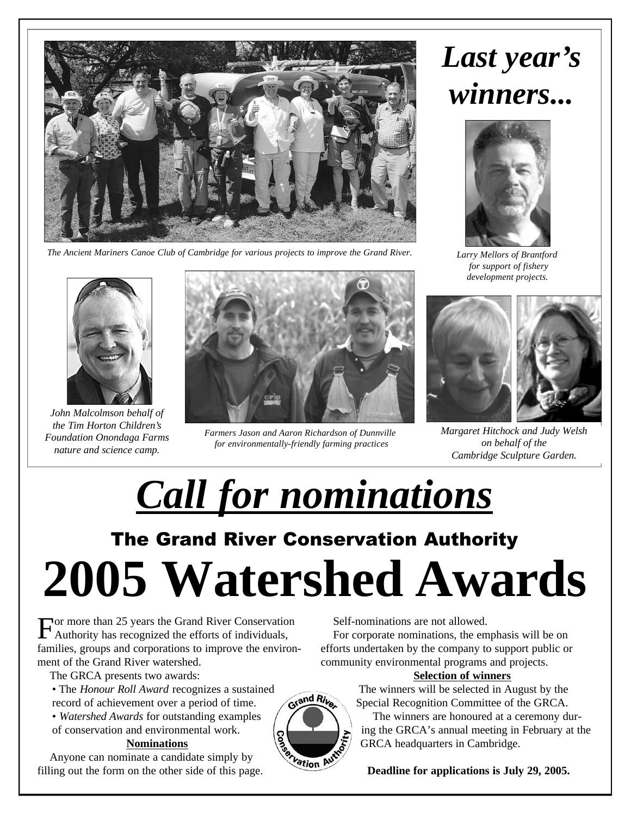

*The Ancient Mariners Canoe Club of Cambridge for various projects to improve the Grand River.*

# *Last year's winners...*



*Larry Mellors of Brantford for support of fishery development projects.*



*John Malcolmson behalf of the Tim Horton Children's Foundation Onondaga Farms nature and science camp.*



*Farmers Jason and Aaron Richardson of Dunnville for environmentally-friendly farming practices* 



*Margaret Hitchock and Judy Welsh on behalf of the Cambridge Sculpture Garden.*

The Grand River Conservation Authority **2005 Watershed Awards** *Call for nominations*

For more than 25 years the Grand River Conservation<br>Authority has recognized the efforts of individuals, Authority has recognized the efforts of individuals, families, groups and corporations to improve the environment of the Grand River watershed.

The GRCA presents two awards:

• The *Honour Roll Award* recognizes a sustained record of achievement over a period of time.

• *Watershed Awards* for outstanding examples of conservation and environmental work.

#### **Nominations**

Anyone can nominate a candidate simply by filling out the form on the other side of this page. Self-nominations are not allowed.

For corporate nominations, the emphasis will be on efforts undertaken by the company to support public or community environmental programs and projects.

#### **Selection of winners**

The winners will be selected in August by the Special Recognition Committee of the GRCA.

The winners are honoured at a ceremony during the GRCA's annual meeting in February at the GRCA headquarters in Cambridge.

**Deadline for applications is July 29, 2005.**